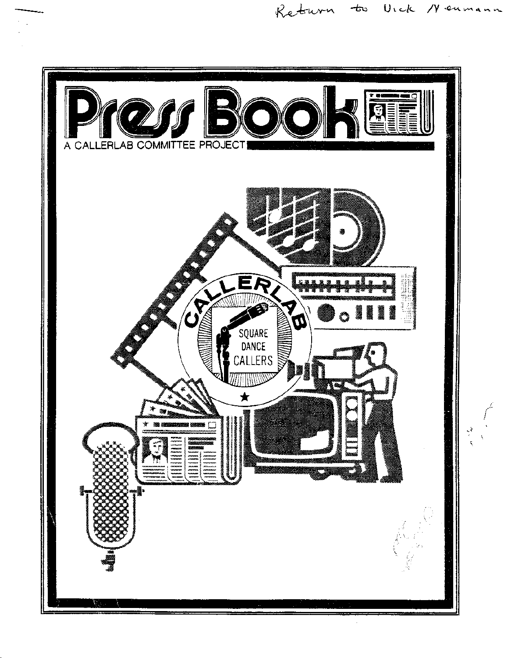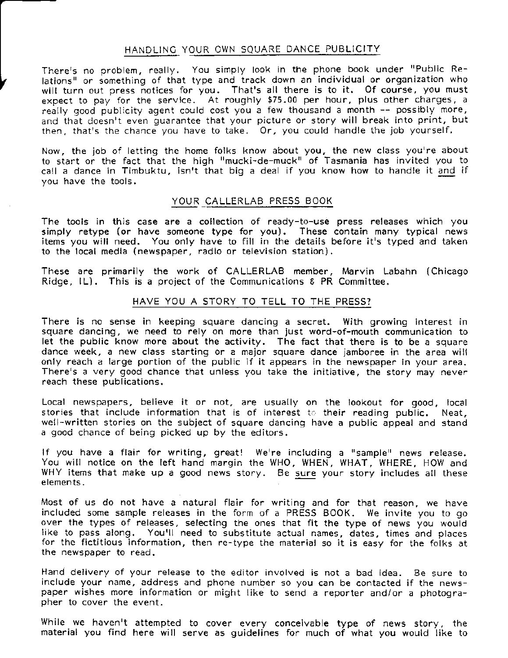### HANDLING YOUR OWN SQUARE DANCE PUBLICITY

There's no problem, really. You simply look in the phone book under "Public Relations" or something of that type and track down an individual or organization who will turn out press notices for you. That's all there is to it. Of course, you must expect to pay for the service. At roughly \$75.00 per hour, plus other charges, a really good publicity agent could cost you a few thousand a month  $-$  possibly more, and that doesn't even quarantee that your picture or story will break into print, but then, that's the chance you have to take. Or, you could handle the job yourself.

Now, the job of letting the home folks know about you. the new class you're about to start or the fact that the high "mucki-de-muck" of Tasmania has invited you to call a dance in Tirnbuktu, isn't that big a deal if you know how to handle it and if you have the tools,

### YOUR CALLERLAB PRESS BOOK

The tools in this case are a collection of ready-to-use press releases which you simply retype (or have someone type for you). These contain many typical news items you will need. You only have to fill in the details before it's typed and taken to the local media (newspaper, radio or television station).

These are primarily the work of CALLERLAB member, Marvin Labahn (Chicago Ridge,  $[L]$ . This is a project of the Communications  $E$  PR Committee.

### HAVE YOU A STORY TO TELL TO THE PRESS?

There is no sense in keeping square dancing a secret. With growing interest in square dancing, we need to rely on more than just word-of-mouth communication to let the public know more about the activity. The fact that there is to be a square dance week, a new class starting or a major square dance jamboree in the area will only reach a large portion of the public if it appears in the newspaper in your area. There's a very good chance that unless you take the initiative. the story may never reach these publications.

Local newspapers, believe it or not, are usually on the lookout for good, local stories that include information that is of interest to their reading public. Neat, well-written stories on the subject of square dancing have a public appeal and stand a good chance of being picked up by the editors.

If you have a flair for writing, great! We're including a "sample" news release. You will notice on the left hand margin the WHO, WHEN, WHAT, WHERE, HOW and WHY items that make up a good news story. Be sure your story includes all these elements.

Most of us do not have a natural flair for writing and for that reason, we have included some sample releases in the form of a PRESS BOOK. We invite you to go over the types of releases, selecting the ones that fit the type of news you would like to pass along. You'll need to substitute actual names, dates, times and places for the fictitious information, then re-type the material so it is easy for the folks at the newspager to read.

Hand delivery of your release to the editor involved is not a bad idea. Be sure to include your name, address and phone number so you can be contacted if the newspaper wishes more information or might like to send a reporter and/or a photographer to cover the event.

While we haven't attempted to cover every conceivable type of news story, the<br>material you find here will serve as guidelines for much of what you would like to material you find here will serve as guidelines for much of what you would like to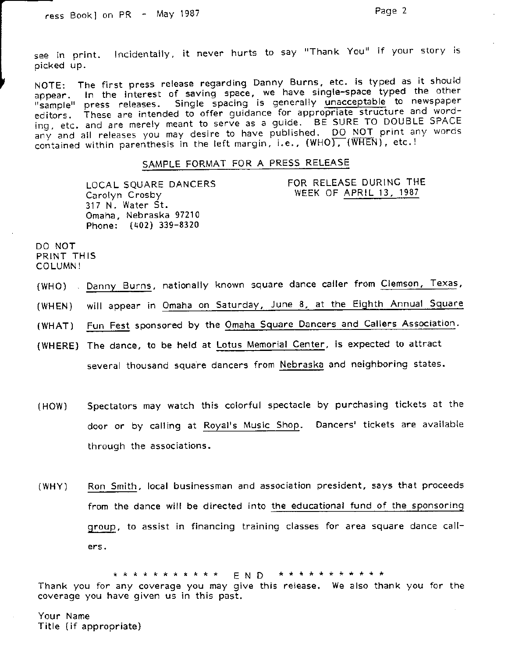FOR RELEASE DURING THE

see in print. Incidentally, it never hurts to say "Thank You" if your story is oicked uP.

NOTE: The first press release regarding Danny Burns, etc. is typed as it should appear. In the interest of saving space, we have single-space typed the other "sample" press releases. Single spacing is generally unacceptable to newspaper<br>editors. These are intended to offer guidance for appropriate structure and wording, etc. and are merely meant to serve as a guide. BE SURE TO DOUBLE SPACE ing, etc. and are merely meant to serve as a gallact of the NOT print any words<br>any and ail releases you may desire to have published. DO NOT print any words<br>contained within parenthesis in the left margin, i.e., (WHO), (W contained within parenthesis in the left margin, i.e., (WHO), (WHEN), etc.!

### SAMPLE FORMAT FOR A PRESS RELEASE

WEEK OF APRIL 13, ]987 LOCAL SQUARE DANCERS Carolyn Crosby 317 N. Water St. Omaha, Nebraska 97210 Phone: (402) 339-8320

DO NOT PRINT THIS COLUMN !

- (WHO) Danny Burns, nationally known square dance caller from Clemson, Texas,
- (WHEN) will appear in Omaha on Saturday, June 8, at the Eighth Annual Square
- (WHAT) Fun Fest sponsored by the Omaha Square Dancers and Callers Association.
- (WHERE) The dance, to be held at Lotus Memorial Center, is expected to attract several thousand square dancers from Nebraska and neighboring states.
- (HOW) Spectators rnay watch this colorful spectacle by purchasing tickets at the door or by calling at Royal's Music Shop. Dancers' tickets are available through the associations.
- (WHY) Ron Smith, local businessman and association president, says that proceeds from the dance will be directed into the educational fund of the sponsoring group. to assist in financing training classes for area square dance call ers.

\* \* \* \* \* \* \* \* \* \* EN D \* \* \* \* \* \* \* \* \* \* \* Thank you for any coverage you may give this release. We also thank you for the coverage you have given us in this past,

Your Name Title (if appropriate)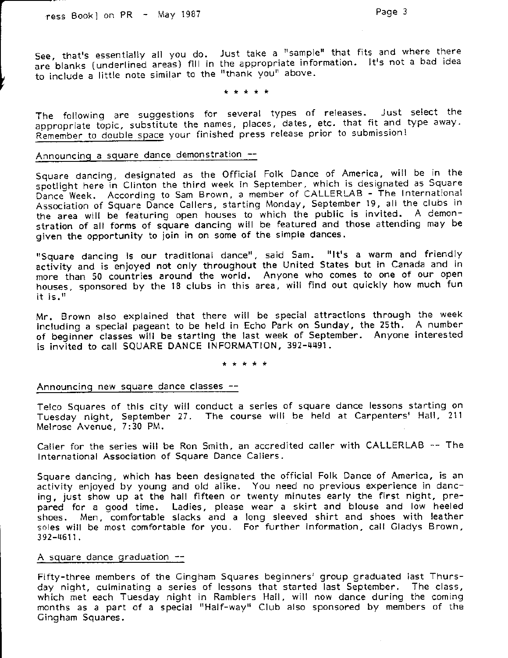See, that's essentially all you do. Just take a "sample" that fits and where there are blanks (underlined areas) fill in the appropriate information. It's not a bad idea to include a little note similar to the "thank you" above.

The following are suggestions for several types of releases. Just select the appropriate topic, substitute the names, places, dates, etc. that fit and type away. Remember to double space your finished press release prior to submission!

### Announcing a square dance demonstration --

Square dancing, designated as the Official Folk Dance of America, will be in the spotlight here in Clinton the third week in September, which is designated as Square Dance Week. According to Sam Brown, a member of CALLERLAB - The International Association of Square Dance Callers, starting Monday, September 19, all the clubs in the area will be featuring open houses to which the public is invited. A demonstration of all forms of square dancing will be featured and those attending may be given the opportunity to join in on some of the simple dances.

"Square dancing is our traditional dance", said Sam. "It's a warm and friendly activity and is enjoyed not only throughout the United States but in Canada and in more ihan 50 countries around the world. Anyone who comes to one of our open houses, sponsored by the 18 clubs in this area, will find out quickly how much fun it is. $"$ 

Mr. Brown also explained that there will be special attractions through the week inctuding a special pageant to be held in Echo Park on Sunday, the 25th. A number of beginner classes wlll be starting the last week of September. Anyone interested is invited to call SQUARE DANCE INFORMATION, 392-4491.

\* \* \* \* \*

### Announcing new square dance classes --

Telco Squares of this city will conduct a series of square dance lessons starting on Teico Squares of this city win conduct a scries of Square dation resons surring of N4elrose Avenue, 7:30 PM.

Caller for the series will be Ron Smith. an accredited caller with CALLERLAB -- The International Association of Square Dance Callers.

Square dancing, which has been designated the official Folk Dance of America, is an activity enjoyed by young and old alike, You need no previous experience in dancing, just show up at the hall fifteen or twenty minutes early the first night, prepared for a good time, Ladies, please wear a skirt and blouse and low heeled shoes. Men, comfortable slacks and a long sleeved shirt and shoes with leather soles will be most comfortable for you. For further information, call Cladys Brown, 392-4611 .

### A square dance graduation  $-$

Fifty-three members of the Cingham Squares beginners' group graduated last Thursday night, culminating a series of lessons that started last September. The class, which met each Tuesday night in Ramblers Hall, will now dance during the coming months as a part of a special "Half-way" Club also sponsored by members of the Cingham Squares.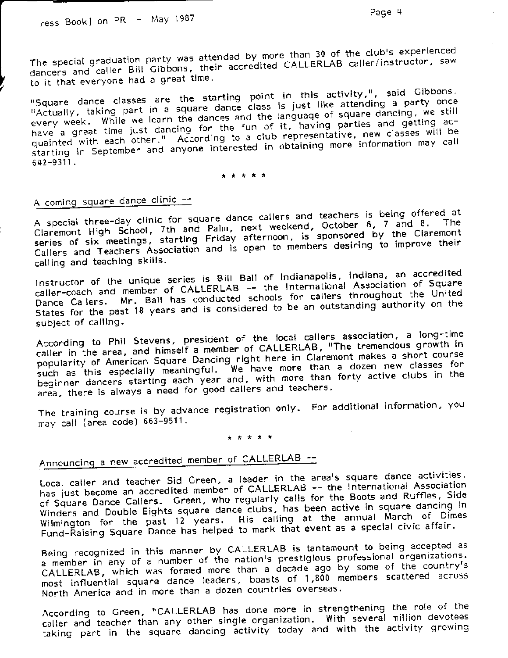The special graduation party was attended by more than 30 of the club's experienced dancers and caller Bill Gibbons, their accredited CALLERLAB caller/instructor, saw to it that everyone had a great time.

"Square dance classes are the starting point in this activity,", said Gibbons. "Actually, taking part in a square dance class is just like attending a party once every week. While we learn the dances and the language of square dancing, we still have a great time just dancing for the fun of it, having parties and getting acquainted with each other." According to a club representative, new classes will be starting in September and anyone interested in obtaining more information may call 642-9311.

\* \* \* \* \*

# A coming square dance clinic --

A special three-day clinic for square dance callers and teachers is being offered at Claremont High School, 7th and Palm, next weekend, October 6, 7 and 8. series of six meetings, starting Friday afternoon, is sponsored by the Claremont Callers and Teachers Association and is open to members desiring to improve their calling and teaching skills.

Instructor of the unique series is Bill Ball of Indianapolis, Indiana, an accredited caller-coach and member of CALLERLAB -- the International Association of Square Dance Callers. Mr. Ball has conducted schools for callers throughout the United States for the past 18 years and is considered to be an outstanding authority on the subject of calling.

According to Phil Stevens, president of the local callers association, a long-time caller in the area, and himself a member of CALLERLAB, "The tremendous growth in popularity of American Square Dancing right here in Claremont makes a short course<br>such as this especially meaningful. We have more than a dozen new classes for beginner dancers starting each year and, with more than forty active clubs in the area, there is always a need for good callers and teachers.

The training course is by advance registration only. For additional information, you may call (area code) 663-9511.

### \* \* \* \* \*

# Announcing a new accredited member of CALLERLAB --

Local caller and teacher Sid Green, a leader in the area's square dance activities, has just become an accredited member of CALLERLAB -- the International Association of Square Dance Callers. Green, who regularly calls for the Boots and Ruffles, Side Winders and Double Eights square dance clubs, has been active in square dancing in Wilmington for the past 12 years. His calling at the annual March of Dimes Fund-Raising Square Dance has helped to mark that event as a special civic affair.

Being recognized in this manner by CALLERLAB is tantamount to being accepted as a member in any of a number of the nation's prestigious professional organizations. CALLERLAB, which was formed more than a decade ago by some of the country's most influential square dance leaders, boasts of 1,800 members scattered across North America and in more than a dozen countries overseas.

According to Green, "CALLERLAB has done more in strengthening the role of the caller and teacher than any other single organization. With several million devotees taking part in the square dancing activity today and with the activity growing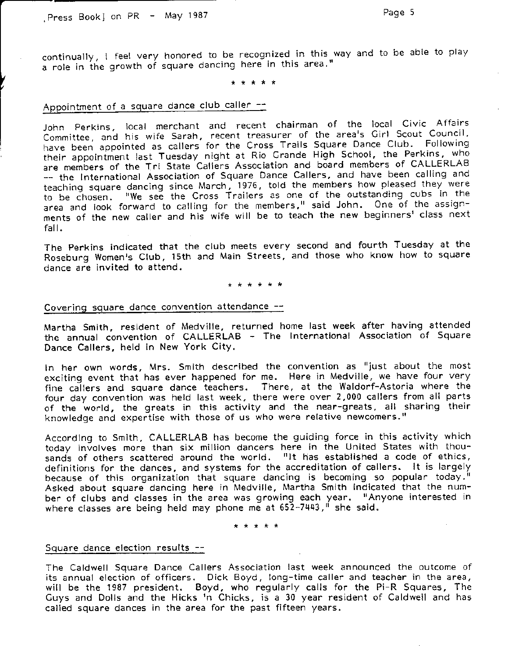continually, I feel very honored to be recognized in this way and to be able to play a role in the growth of square dancing here in this area."

## Appointment of a square dance club caller --

John Perkins, local merchant and recent chairman of the local Civic Affairs John Perkins, local merchant and recent chairman of the local Stris Alleman<br>Committee, and his wife Sarah, recent treasurer of the area's Girl Scout Council Committee, and his wife sarah, recent treasurer of the area's enviroscal sources,<br>have been appointed as callers for the Cross Trails Square Dance Club. Following their appointment last Tuesday night at Rio Grande High School, the Perkins, who are members of the Tri State Callers Association and board members of CALLERLAB -- the lnternational Association of Square Dance Callers, and have been calling and teachinq square dancinq since March, 1976, told the members how pleased they were to be chosen. "We see the Cross Trailers as one of the outstanding cubs in the area and look forward to calling for the members," said John. One of the assignments of the new caller and his wife will be to teach the new beginners' class next fall.

The Perkins indicated that the club meets every second and fourth Tuesday at the Roseburg Women's Club, 15th and Main Streets, and those who know how to square dance are invited to attend.

### Covering square dance convention attendance --

Martha Smith, resident of Medville, returned home last week after having attended the annual convention of CALLERLAB - The International Association of Square Dance Callers, held in New York City.

ln her own words, Mrs. Smith described the convention as "just about the most exciting event that has ever happened for me. Here in Medville, we have four very fine callers and square dance teachers. There, at the Waldorf-Astoria where the four day convention was held last week, there were over 2,000 callers from all parts of the world, the greats in this activity and the near-greats, all sharing their knowledge and expertise with those of us who were relative newcomers."

According to Smith, CALLERLAB has become the guiding force in this activity which today involves more than six million dancers here in the United States with thousands of others scattered around the world. "It has established a code of ethics, definitions for the dances, and systems for the accreditation of callers. lt is largely because of this organization that square dancing is becoming so popular today.!' Asked about square dancing here in Medville, Martha Smith indicated that the number of clubs and classes in the area was growing each year. "Anyone interested in where classes are being held may phone me at 652-7443," she said.

### Square dance election results --

The Caldwell Square Dance Callers Association last week announced the outcome of its annual election of officers. Dick Boyd, long-time caller and teacher in the area, will be the 1987 president. Boyd, who regularly calls for the Pi-R Squares, The Guys and Dolls and the Hicks <sup>i</sup>n Chicks, is a 30 year resident of Caldwell and has called square dances in the area for the past fifteen years.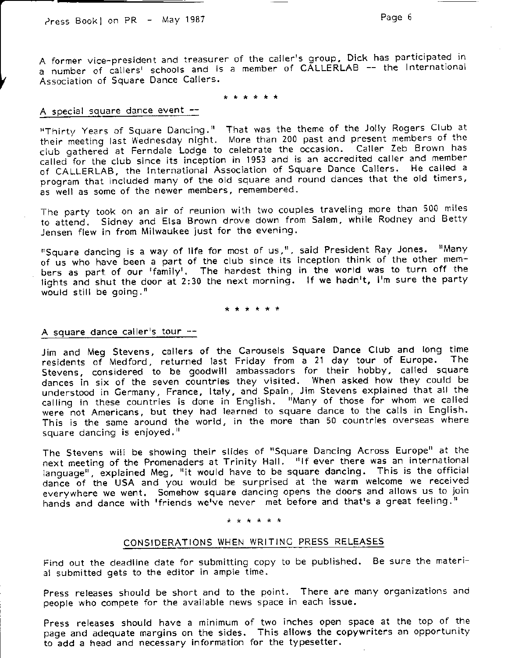A former vice-president and treasurer of the caller's group. Dick has participated in A former vice-president and dieasure. Si the same of CALLERLAB -- the International Association of Square Dance callers.

### A special square dance event --

"Thirty Years of Square Dancing." That was the theme of the Jolly Rogers Club at their meeting last Wednesday night. More than 200 past and present members of the club gathered at Ferndale Lodge to celebrate the occasion. Caller Zeb Brown has called for the club since its inception in 1953 and is an accredited caller and member of CALLERLAB, the International Association of Square Dance Callers. He called a program that included many of the old square and round dances that the old timers, as well as some of the newer members, remembered.

The party took on an air of reunion with two couples traveling more than 500 miles to attend. Sidney and Elsa Brown drove down from Salem, while Rodney and Betty Jensen flew in from Milwaukee just for the evening.

"Square dancing is a way of life for most of us,", said President Ray Jones. "Many of us who have been a part of the club since its inception think of the other members as part of our 'family'. The hardest thing in the world was to turn off the lights and shut the door at 2:30 the next morning. If we hadn't, I'm sure the party would still be going, "

### A square dance caller's tour  $-$

Jim and Meg Stevens, callers of the Carousels Square Dance Club and long time<br>residents of Medford, returned last Eriday from a 21 day tour of Europe. The residents of Medford, returned last Friday from a 21 day tour of Europe. Stevens. considered to be goodwill ambassadors for their hobby, called square dances in six of the seven countries they visited. When asked how they could be understood in Cermany, France, ltaly. and Spain, Jim Stevens explained that all the calling in these countries is done in English. "Many of those for whom we called were not Americans, but they had learned to square dance to the calls in English. This is the same around the world, in the more than 50 countries overseas where square dancing is enjoyed, "

The Stevens will be showing their slides of "Square Dancing Across Europe" at the next meetinq of the Promenaders at Trinity Hall. "lf ever there was an international language", explained Meg, "it would have to be square dancing. This is the official dance of the USA and you would be surprised at the warm welcome we received everywhere we went. Somehow square dancing opens the doors and allows us to join hands and dance with 'friends we've never met before and that's a great feeling."

### \* \* \* \* \* \*

### CONSIDERATIONS WHEN WRITING PRESS RELEASES

Find out the deadline date for submitting copy to be published. Be sure the material submitted gets to the editor in ample time.

Press releases should be short and to the point. There are many organizations and people who compete for the available news space in each issue.

Press releases should have a minimum of two inches open space at the top of the page and adequate margins on the sides. This allows the copywriters an opportunity to add a head and necessary information for the typesetter.